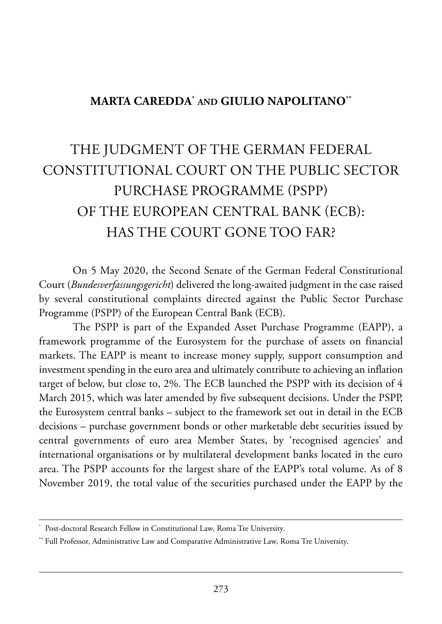## **MARTA CAREDDA\* AND GIULIO NAPOLITANO\*\***

## THE JUDGMENT OF THE GERMAN FEDERAL CONSTITUTIONAL COURT ON THE PUBLIC SECTOR PURCHASE PROGRAMME (PSPP) OF THE EUROPEAN CENTRAL BANK (ECB): HAS THE COURT GONE TOO FAR?

On 5 May 2020, the Second Senate of the German Federal Constitutional Court (*Bundesverfassungsgericht*) delivered the long-awaited judgment in the case raised by several constitutional complaints directed against the Public Sector Purchase Programme (PSPP) of the European Central Bank (ECB).

The PSPP is part of the Expanded Asset Purchase Programme (EAPP), a framework programme of the Eurosystem for the purchase of assets on financial markets. The EAPP is meant to increase money supply, support consumption and investment spending in the euro area and ultimately contribute to achieving an inflation target of below, but close to, 2%. The ECB launched the PSPP with its decision of 4 March 2015, which was later amended by five subsequent decisions. Under the PSPP, the Eurosystem central banks – subject to the framework set out in detail in the ECB decisions – purchase government bonds or other marketable debt securities issued by central governments of euro area Member States, by 'recognised agencies' and international organisations or by multilateral development banks located in the euro area. The PSPP accounts for the largest share of the EAPP's total volume. As of 8 November 2019, the total value of the securities purchased under the EAPP by the

Post-doctoral Research Fellow in Constitutional Law, Roma Tre University.

<sup>\*\*</sup> Full Professor, Administrative Law and Comparative Administrative Law, Roma Tre University.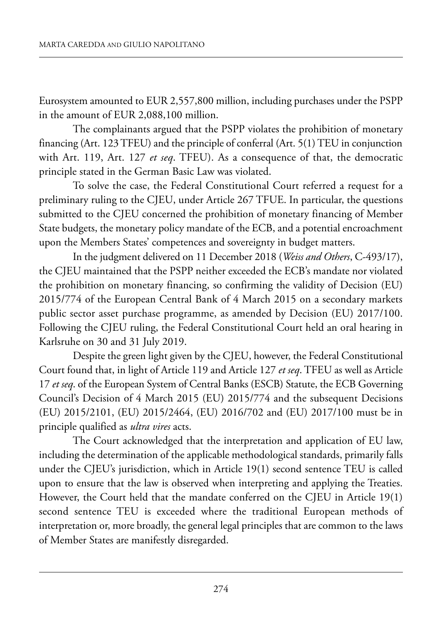Eurosystem amounted to EUR 2,557,800 million, including purchases under the PSPP in the amount of EUR 2,088,100 million.

The complainants argued that the PSPP violates the prohibition of monetary financing (Art. 123 TFEU) and the principle of conferral (Art.  $5(1)$  TEU in conjunction with Art. 119, Art. 127 *et seq*. TFEU). As a consequence of that, the democratic principle stated in the German Basic law was violated.

To solve the case, the Federal Constitutional Court referred a request for a preliminary ruling to the CJEU, under Article 267 TFUE. In particular, the questions submitted to the CJEU concerned the prohibition of monetary financing of Member State budgets, the monetary policy mandate of the ECB, and a potential encroachment upon the Members States' competences and sovereignty in budget matters.

In the judgment delivered on 11 December 2018 (*Weiss and Others*, C-493/17), the CJEU maintained that the PSPP neither exceeded the ECB's mandate nor violated the prohibition on monetary financing, so confirming the validity of Decision  $(EU)$ 2015/774 of the European Central Bank of 4 March 2015 on a secondary markets public sector asset purchase programme, as amended by Decision (EU) 2017/100. Following the CJEU ruling, the Federal Constitutional Court held an oral hearing in karlsruhe on 30 and 31 July 2019.

Despite the green light given by the CJEU, however, the Federal Constitutional Court found that, in light of Article 119 and Article 127 et seq. TFEU as well as Article 17 *et seq*. of the European System of Central Banks (ESCB) Statute, the ECB Governing Council's Decision of 4 March 2015 (EU) 2015/774 and the subsequent Decisions (EU) 2015/2101, (EU) 2015/2464, (EU) 2016/702 and (EU) 2017/100 must be in principle qualified as *ultra vires* acts.

The Court acknowledged that the interpretation and application of EU law, including the determination of the applicable methodological standards, primarily falls under the CJEU's jurisdiction, which in Article  $19(1)$  second sentence TEU is called upon to ensure that the law is observed when interpreting and applying the Treaties. However, the Court held that the mandate conferred on the CJEU in Article 19(1) second sentence TEU is exceeded where the traditional European methods of interpretation or, more broadly, the general legal principles that are common to the laws of Member States are manifestly disregarded.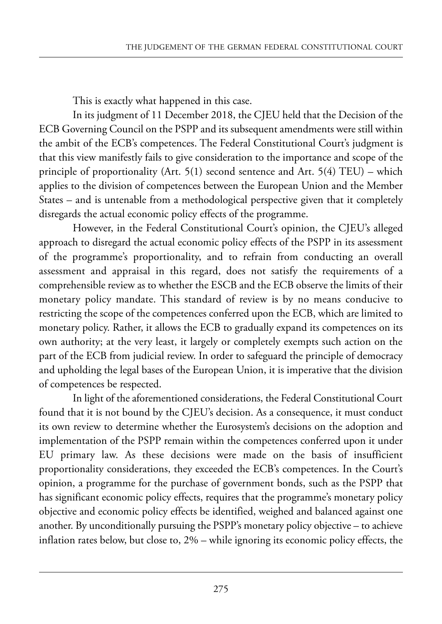This is exactly what happened in this case.

In its judgment of 11 December 2018, the CJEU held that the Decision of the eCB Governing Council on the pspp and its subsequent amendments were still within the ambit of the eCB's competences. the federal Constitutional Court's judgment is that this view manifestly fails to give consideration to the importance and scope of the principle of proportionality (Art.  $5(1)$  second sentence and Art.  $5(4)$  TEU) – which applies to the division of competences between the European Union and the Member states – and is untenable from a methodological perspective given that it completely disregards the actual economic policy effects of the programme.

However, in the Federal Constitutional Court's opinion, the CJEU's alleged approach to disregard the actual economic policy effects of the PSPP in its assessment of the programme's proportionality, and to refrain from conducting an overall assessment and appraisal in this regard, does not satisfy the requirements of a comprehensible review as to whether the esCB and the eCB observe the limits of their monetary policy mandate. This standard of review is by no means conducive to restricting the scope of the competences conferred upon the ECB, which are limited to monetary policy. Rather, it allows the ECB to gradually expand its competences on its own authority; at the very least, it largely or completely exempts such action on the part of the ECB from judicial review. In order to safeguard the principle of democracy and upholding the legal bases of the European Union, it is imperative that the division of competences be respected.

In light of the aforementioned considerations, the Federal Constitutional Court found that it is not bound by the CJEU's decision. As a consequence, it must conduct its own review to determine whether the eurosystem's decisions on the adoption and implementation of the PSPP remain within the competences conferred upon it under EU primary law. As these decisions were made on the basis of insufficient proportionality considerations, they exceeded the ECB's competences. In the Court's opinion, a programme for the purchase of government bonds, such as the PSPP that has significant economic policy effects, requires that the programme's monetary policy objective and economic policy effects be identified, weighed and balanced against one another. By unconditionally pursuing the  $PSPP$ 's monetary policy objective – to achieve inflation rates below, but close to, 2% – while ignoring its economic policy effects, the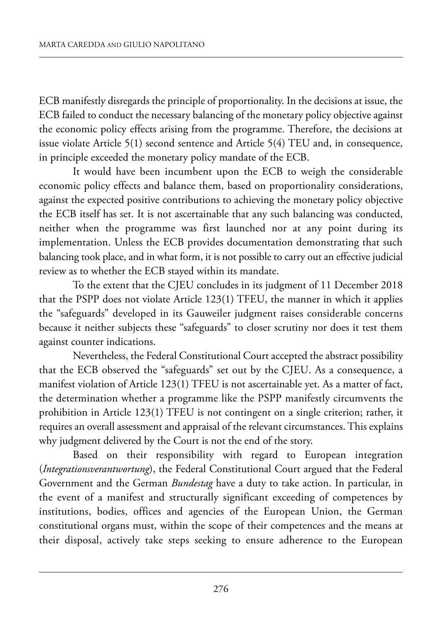ECB manifestly disregards the principle of proportionality. In the decisions at issue, the ECB failed to conduct the necessary balancing of the monetary policy objective against the economic policy effects arising from the programme. Therefore, the decisions at issue violate Article  $5(1)$  second sentence and Article  $5(4)$  TEU and, in consequence, in principle exceeded the monetary policy mandate of the ECB.

It would have been incumbent upon the ECB to weigh the considerable economic policy effects and balance them, based on proportionality considerations, against the expected positive contributions to achieving the monetary policy objective the ECB itself has set. It is not ascertainable that any such balancing was conducted, neither when the programme was first launched nor at any point during its implementation. Unless the ECB provides documentation demonstrating that such balancing took place, and in what form, it is not possible to carry out an effective judicial review as to whether the ECB stayed within its mandate.

To the extent that the CJEU concludes in its judgment of 11 December 2018 that the PSPP does not violate Article  $123(1)$  TFEU, the manner in which it applies the "safeguards" developed in its Gauweiler judgment raises considerable concerns because it neither subjects these "safeguards" to closer scrutiny nor does it test them against counter indications.

Nevertheless, the Federal Constitutional Court accepted the abstract possibility that the ECB observed the "safeguards" set out by the CJEU. As a consequence, a manifest violation of Article  $123(1)$  TFEU is not ascertainable yet. As a matter of fact, the determination whether a programme like the pspp manifestly circumvents the prohibition in Article 123(1) TFEU is not contingent on a single criterion; rather, it requires an overall assessment and appraisal of the relevant circumstances. This explains why judgment delivered by the Court is not the end of the story.

Based on their responsibility with regard to European integration (*Integrationsverantwortung*), the federal Constitutional Court argued that the federal Government and the German *Bundestag* have a duty to take action. in particular, in the event of a manifest and structurally significant exceeding of competences by institutions, bodies, offices and agencies of the European Union, the German constitutional organs must, within the scope of their competences and the means at their disposal, actively take steps seeking to ensure adherence to the European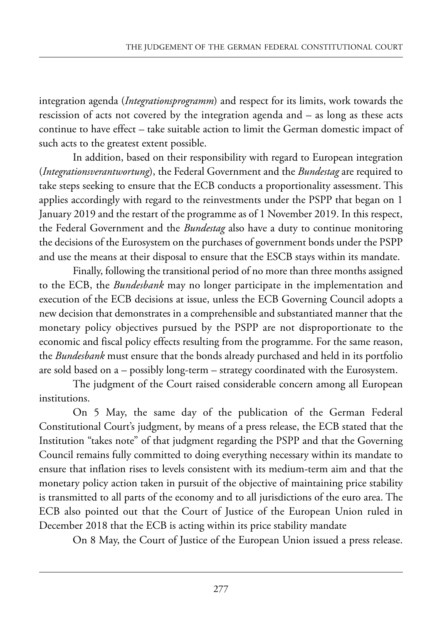integration agenda (*Integrationsprogramm*) and respect for its limits, work towards the rescission of acts not covered by the integration agenda and – as long as these acts continue to have effect – take suitable action to limit the German domestic impact of such acts to the greatest extent possible.

In addition, based on their responsibility with regard to European integration (*Integrationsverantwortung*), the federal Government and the *Bundestag* are required to take steps seeking to ensure that the ECB conducts a proportionality assessment. This applies accordingly with regard to the reinvestments under the PSPP that began on 1 January 2019 and the restart of the programme as of 1 November 2019. In this respect, the federal Government and the *Bundestag* also have a duty to continue monitoring the decisions of the Eurosystem on the purchases of government bonds under the PSPP and use the means at their disposal to ensure that the ESCB stays within its mandate.

finally, following the transitional period of no more than three months assigned to the ECB, the *Bundesbank* may no longer participate in the implementation and execution of the ECB decisions at issue, unless the ECB Governing Council adopts a new decision that demonstrates in a comprehensible and substantiated manner that the monetary policy objectives pursued by the pspp are not disproportionate to the economic and fiscal policy effects resulting from the programme. for the same reason, the *Bundesbank* must ensure that the bonds already purchased and held in its portfolio are sold based on  $a -$  possibly long-term  $-$  strategy coordinated with the Eurosystem.

The judgment of the Court raised considerable concern among all European institutions.

On 5 May, the same day of the publication of the German Federal Constitutional Court's judgment, by means of a press release, the ECB stated that the Institution "takes note" of that judgment regarding the PSPP and that the Governing Council remains fully committed to doing everything necessary within its mandate to ensure that inflation rises to levels consistent with its medium-term aim and that the monetary policy action taken in pursuit of the objective of maintaining price stability is transmitted to all parts of the economy and to all jurisdictions of the euro area. the ECB also pointed out that the Court of Justice of the European Union ruled in December 2018 that the ECB is acting within its price stability mandate

On 8 May, the Court of Justice of the European Union issued a press release.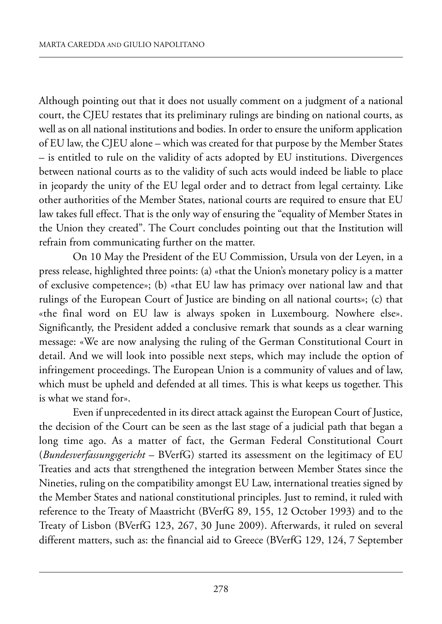although pointing out that it does not usually comment on a judgment of a national court, the CJEU restates that its preliminary rulings are binding on national courts, as well as on all national institutions and bodies. In order to ensure the uniform application of EU law, the CJEU alone – which was created for that purpose by the Member States – is entitled to rule on the validity of acts adopted by EU institutions. Divergences between national courts as to the validity of such acts would indeed be liable to place in jeopardy the unity of the EU legal order and to detract from legal certainty. Like other authorities of the Member States, national courts are required to ensure that EU law takes full effect. That is the only way of ensuring the "equality of Member States in the Union they created". The Court concludes pointing out that the Institution will refrain from communicating further on the matter.

On 10 May the President of the EU Commission, Ursula von der Leyen, in a press release, highlighted three points: (a) «that the Union's monetary policy is a matter of exclusive competence»; (b) «that EU law has primacy over national law and that rulings of the European Court of Justice are binding on all national courts»; (c) that «the final word on EU law is always spoken in Luxembourg. Nowhere else». significantly, the president added a conclusive remark that sounds as a clear warning message: «we are now analysing the ruling of the German Constitutional Court in detail. And we will look into possible next steps, which may include the option of infringement proceedings. The European Union is a community of values and of law, which must be upheld and defended at all times. This is what keeps us together. This is what we stand for».

Even if unprecedented in its direct attack against the European Court of Justice, the decision of the Court can be seen as the last stage of a judicial path that began a long time ago. As a matter of fact, the German Federal Constitutional Court (*Bundesverfassungsgericht* – BVerfG) started its assessment on the legitimacy of EU Treaties and acts that strengthened the integration between Member States since the Nineties, ruling on the compatibility amongst EU Law, international treaties signed by the member states and national constitutional principles. Just to remind, it ruled with reference to the Treaty of Maastricht (BVerfG 89, 155, 12 October 1993) and to the Treaty of Lisbon (BVerfG 123, 267, 30 June 2009). Afterwards, it ruled on several different matters, such as: the financial aid to Greece (BVerfG 129, 124, 7 september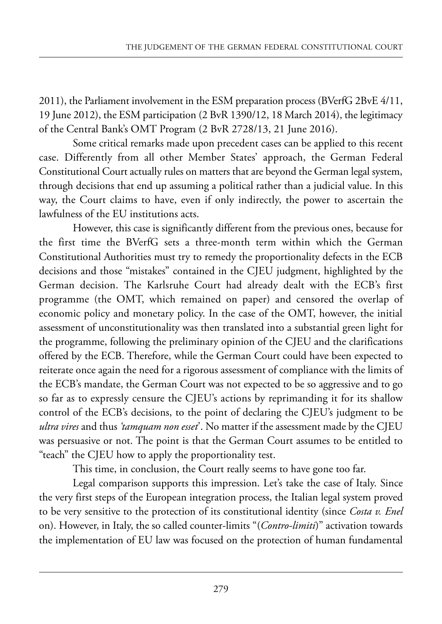2011), the Parliament involvement in the ESM preparation process (BVerfG 2BvE 4/11, 19 June 2012), the ESM participation  $(2 BvR 1390/12, 18$  March 2014), the legitimacy of the Central Bank's OMT Program (2 BvR 2728/13, 21 June 2016).

some critical remarks made upon precedent cases can be applied to this recent case. Differently from all other Member States' approach, the German Federal Constitutional Court actually rules on matters that are beyond the German legal system, through decisions that end up assuming a political rather than a judicial value. in this way, the Court claims to have, even if only indirectly, the power to ascertain the lawfulness of the EU institutions acts.

however, this case is significantly different from the previous ones, because for the first time the BVerfG sets a three-month term within which the German Constitutional Authorities must try to remedy the proportionality defects in the ECB decisions and those "mistakes" contained in the CJEU judgment, highlighted by the German decision. The Karlsruhe Court had already dealt with the ECB's first programme (the OMT, which remained on paper) and censored the overlap of economic policy and monetary policy. In the case of the OMT, however, the initial assessment of unconstitutionality was then translated into a substantial green light for the programme, following the preliminary opinion of the CJEU and the clarifications offered by the eCB. therefore, while the German Court could have been expected to reiterate once again the need for a rigorous assessment of compliance with the limits of the ECB's mandate, the German Court was not expected to be so aggressive and to go so far as to expressly censure the CJEU's actions by reprimanding it for its shallow control of the ECB's decisions, to the point of declaring the CJEU's judgment to be *ultra vires* and thus *'tamquam non esset*'. No matter if the assessment made by the CJEU was persuasive or not. The point is that the German Court assumes to be entitled to "teach" the CJEU how to apply the proportionality test.

This time, in conclusion, the Court really seems to have gone too far.

Legal comparison supports this impression. Let's take the case of Italy. Since the very first steps of the European integration process, the Italian legal system proved to be very sensitive to the protection of its constitutional identity (since *Costa v. Enel* on). however, in italy, the so called counter-limits "(*Contro-limiti*)" activation towards the implementation of EU law was focused on the protection of human fundamental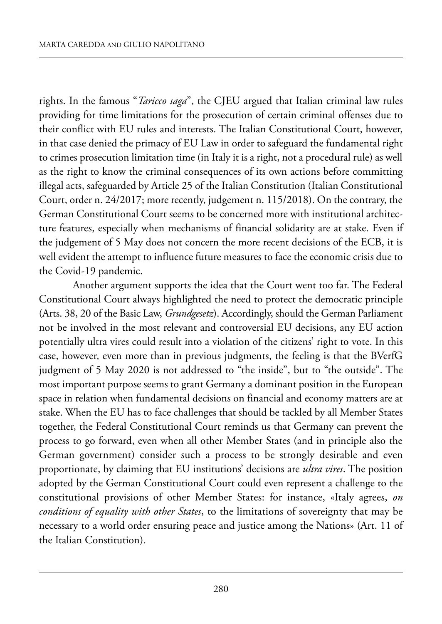rights. In the famous "*Taricco saga*", the CJEU argued that Italian criminal law rules providing for time limitations for the prosecution of certain criminal offenses due to their conflict with EU rules and interests. The Italian Constitutional Court, however, in that case denied the primacy of EU Law in order to safeguard the fundamental right to crimes prosecution limitation time (in Italy it is a right, not a procedural rule) as well as the right to know the criminal consequences of its own actions before committing illegal acts, safeguarded by Article 25 of the Italian Constitution (Italian Constitutional Court, order n. 24/2017; more recently, judgement n. 115/2018). On the contrary, the German Constitutional Court seems to be concerned more with institutional architecture features, especially when mechanisms of financial solidarity are at stake. Even if the judgement of 5 May does not concern the more recent decisions of the ECB, it is well evident the attempt to influence future measures to face the economic crisis due to the Covid-19 pandemic.

Another argument supports the idea that the Court went too far. The Federal Constitutional Court always highlighted the need to protect the democratic principle (Arts. 38, 20 of the Basic Law, *Grundgesetz*). Accordingly, should the German Parliament not be involved in the most relevant and controversial EU decisions, any EU action potentially ultra vires could result into a violation of the citizens' right to vote. In this case, however, even more than in previous judgments, the feeling is that the BVerfG judgment of 5 May 2020 is not addressed to "the inside", but to "the outside". The most important purpose seems to grant Germany a dominant position in the European space in relation when fundamental decisions on financial and economy matters are at stake. When the EU has to face challenges that should be tackled by all Member States together, the federal Constitutional Court reminds us that Germany can prevent the process to go forward, even when all other Member States (and in principle also the German government) consider such a process to be strongly desirable and even proportionate, by claiming that EU institutions' decisions are *ultra vires*. The position adopted by the German Constitutional Court could even represent a challenge to the constitutional provisions of other member states: for instance, «italy agrees, *on conditions of equality with other States*, to the limitations of sovereignty that may be necessary to a world order ensuring peace and justice among the Nations» (Art. 11 of the Italian Constitution).